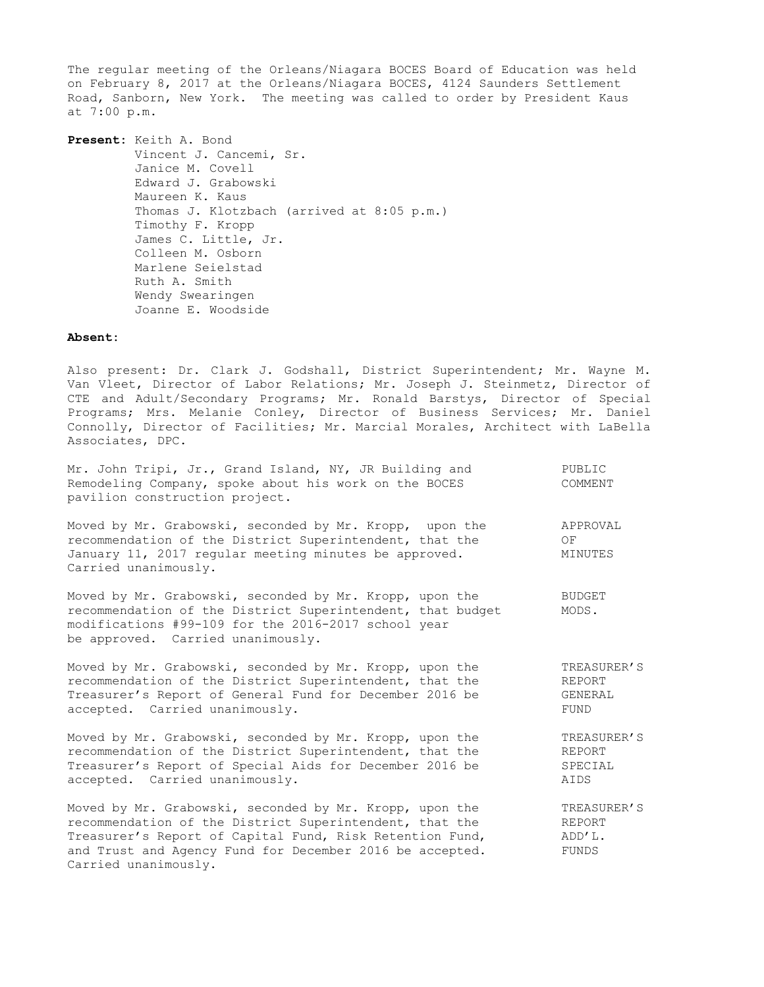The regular meeting of the Orleans/Niagara BOCES Board of Education was held on February 8, 2017 at the Orleans/Niagara BOCES, 4124 Saunders Settlement Road, Sanborn, New York. The meeting was called to order by President Kaus at 7:00 p.m.

**Present:** Keith A. Bond Vincent J. Cancemi, Sr. Janice M. Covell Edward J. Grabowski Maureen K. Kaus Thomas J. Klotzbach (arrived at 8:05 p.m.) Timothy F. Kropp James C. Little, Jr. Colleen M. Osborn Marlene Seielstad Ruth A. Smith Wendy Swearingen Joanne E. Woodside

### **Absent:**

Carried unanimously.

Also present: Dr. Clark J. Godshall, District Superintendent; Mr. Wayne M. Van Vleet, Director of Labor Relations; Mr. Joseph J. Steinmetz, Director of CTE and Adult/Secondary Programs; Mr. Ronald Barstys, Director of Special Programs; Mrs. Melanie Conley, Director of Business Services; Mr. Daniel Connolly, Director of Facilities; Mr. Marcial Morales, Architect with LaBella Associates, DPC.

| Mr. John Tripi, Jr., Grand Island, NY, JR Building and<br>Remodeling Company, spoke about his work on the BOCES<br>pavilion construction project.                                                                 | PUBLIC<br>COMMENT         |
|-------------------------------------------------------------------------------------------------------------------------------------------------------------------------------------------------------------------|---------------------------|
| Moved by Mr. Grabowski, seconded by Mr. Kropp, upon the<br>recommendation of the District Superintendent, that the<br>January 11, 2017 regular meeting minutes be approved.<br>Carried unanimously.               | APPROVAL<br>OF<br>MINUTES |
| Moved by Mr. Grabowski, seconded by Mr. Kropp, upon the<br>recommendation of the District Superintendent, that budget<br>modifications #99-109 for the 2016-2017 school year<br>be approved. Carried unanimously. | <b>BUDGET</b><br>MODS.    |
| Moved by Mr. Grabowski, seconded by Mr. Kropp, upon the                                                                                                                                                           | TREASURER'S               |
| recommendation of the District Superintendent, that the                                                                                                                                                           | REPORT                    |
| Treasurer's Report of General Fund for December 2016 be                                                                                                                                                           | GENERAL                   |
| accepted. Carried unanimously.                                                                                                                                                                                    | FUND                      |
| Moved by Mr. Grabowski, seconded by Mr. Kropp, upon the                                                                                                                                                           | TREASURER'S               |
| recommendation of the District Superintendent, that the                                                                                                                                                           | REPORT                    |
| Treasurer's Report of Special Aids for December 2016 be                                                                                                                                                           | SPECIAL                   |
| accepted. Carried unanimously.                                                                                                                                                                                    | AIDS                      |
| Moved by Mr. Grabowski, seconded by Mr. Kropp, upon the                                                                                                                                                           | TREASURER'S               |
| recommendation of the District Superintendent, that the                                                                                                                                                           | REPORT                    |
| Treasurer's Report of Capital Fund, Risk Retention Fund,                                                                                                                                                          | ADD'L.                    |
| and Trust and Agency Fund for December 2016 be accepted.                                                                                                                                                          | FUNDS                     |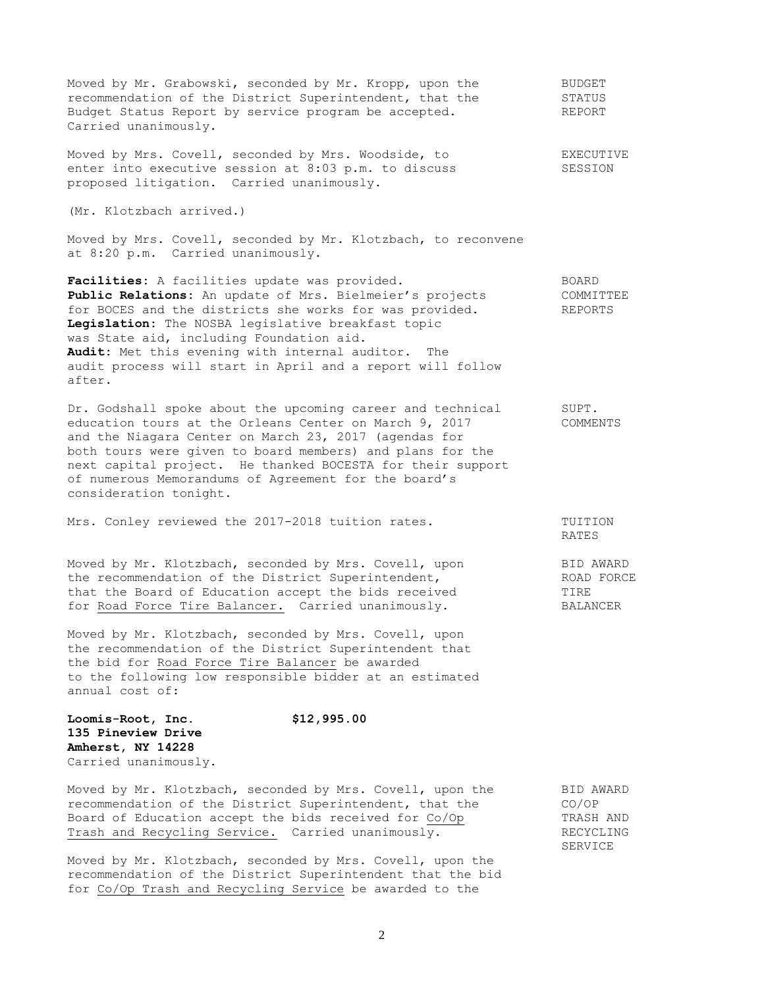Moved by Mr. Grabowski, seconded by Mr. Kropp, upon the THUDGET recommendation of the District Superintendent, that the STATUS Budget Status Report by service program be accepted. REPORT Carried unanimously.

Moved by Mrs. Covell, seconded by Mrs. Woodside, to EXECUTIVE enter into executive session at 8:03 p.m. to discuss SESSION proposed litigation. Carried unanimously.

(Mr. Klotzbach arrived.)

Moved by Mrs. Covell, seconded by Mr. Klotzbach, to reconvene at 8:20 p.m. Carried unanimously.

Facilities: A facilities update was provided. BOARD **Public Relations:** An update of Mrs. Bielmeier's projects COMMITTEE for BOCES and the districts she works for was provided. REPORTS **Legislation:** The NOSBA legislative breakfast topic was State aid, including Foundation aid. **Audit:** Met this evening with internal auditor. The audit process will start in April and a report will follow after.

Dr. Godshall spoke about the upcoming career and technical SUPT. education tours at the Orleans Center on March 9, 2017 COMMENTS and the Niagara Center on March 23, 2017 (agendas for both tours were given to board members) and plans for the next capital project. He thanked BOCESTA for their support of numerous Memorandums of Agreement for the board's consideration tonight.

Mrs. Conley reviewed the 2017-2018 tuition rates. TUITION

Moved by Mr. Klotzbach, seconded by Mrs. Covell, upon BID AWARD the recommendation of the District Superintendent, The ROAD FORCE that the Board of Education accept the bids received TIRE for Road Force Tire Balancer. Carried unanimously. BALANCER

Moved by Mr. Klotzbach, seconded by Mrs. Covell, upon the recommendation of the District Superintendent that the bid for Road Force Tire Balancer be awarded to the following low responsible bidder at an estimated annual cost of:

**Loomis-Root, Inc. \$12,995.00 135 Pineview Drive Amherst, NY 14228** Carried unanimously.

| Moved by Mr. Klotzbach, seconded by Mrs. Covell, upon the | BID AWARD |
|-----------------------------------------------------------|-----------|
| recommendation of the District Superintendent, that the   | CO/OP     |
| Board of Education accept the bids received for Co/Op     | TRASH AND |
| Trash and Recycling Service. Carried unanimously.         | RECYCLING |

Moved by Mr. Klotzbach, seconded by Mrs. Covell, upon the recommendation of the District Superintendent that the bid for Co/Op Trash and Recycling Service be awarded to the

RATES

SERVICE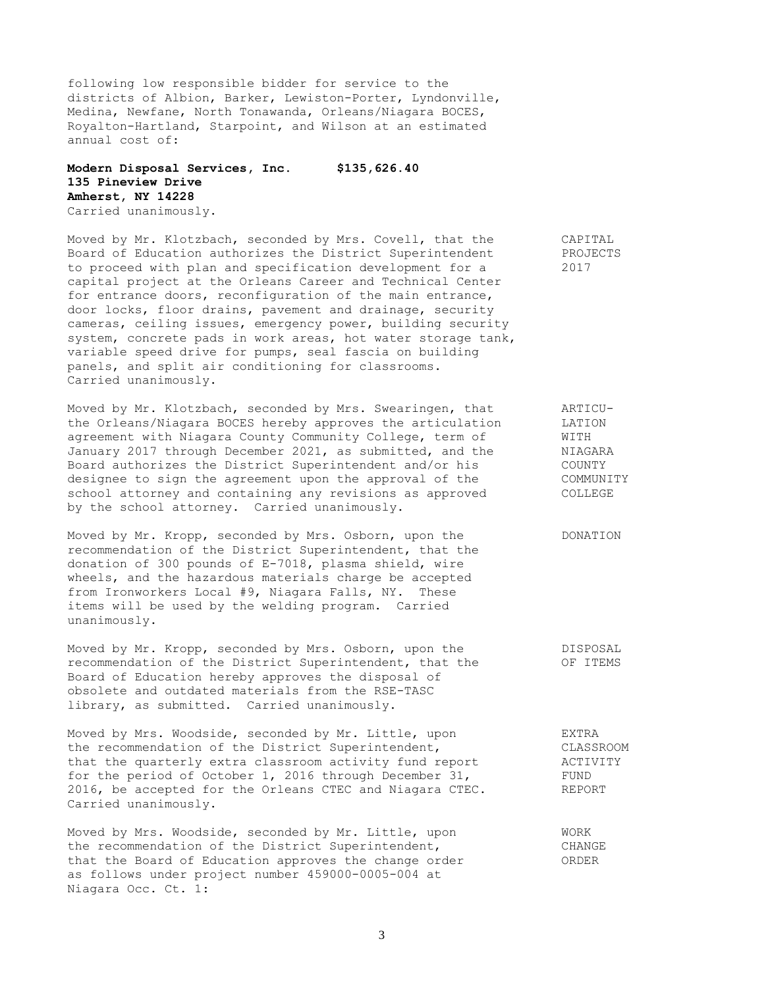following low responsible bidder for service to the districts of Albion, Barker, Lewiston-Porter, Lyndonville, Medina, Newfane, North Tonawanda, Orleans/Niagara BOCES, Royalton-Hartland, Starpoint, and Wilson at an estimated annual cost of:

## **Modern Disposal Services, Inc. \$135,626.40 135 Pineview Drive Amherst, NY 14228** Carried unanimously.

Moved by Mr. Klotzbach, seconded by Mrs. Covell, that the CAPITAL Board of Education authorizes the District Superintendent PROJECTS to proceed with plan and specification development for a 2017 capital project at the Orleans Career and Technical Center for entrance doors, reconfiguration of the main entrance, door locks, floor drains, pavement and drainage, security cameras, ceiling issues, emergency power, building security system, concrete pads in work areas, hot water storage tank, variable speed drive for pumps, seal fascia on building panels, and split air conditioning for classrooms. Carried unanimously.

Moved by Mr. Klotzbach, seconded by Mrs. Swearingen, that ARTICU-<br>the Orleans/Niagara BOCES hereby approves the articulation LATION the Orleans/Niagara BOCES hereby approves the articulation agreement with Niagara County Community College, term of WITH January 2017 through December 2021, as submitted, and the MIAGARA Board authorizes the District Superintendent and/or his COUNTY designee to sign the agreement upon the approval of the COMMUNITY school attorney and containing any revisions as approved COLLEGE by the school attorney. Carried unanimously.

Moved by Mr. Kropp, seconded by Mrs. Osborn, upon the DONATION recommendation of the District Superintendent, that the donation of 300 pounds of E-7018, plasma shield, wire wheels, and the hazardous materials charge be accepted from Ironworkers Local #9, Niagara Falls, NY. These items will be used by the welding program. Carried unanimously.

Moved by Mr. Kropp, seconded by Mrs. Osborn, upon the DISPOSAL recommendation of the District Superintendent, that the  $OF$  ITEMS Board of Education hereby approves the disposal of obsolete and outdated materials from the RSE-TASC library, as submitted. Carried unanimously.

Moved by Mrs. Woodside, seconded by Mr. Little, upon EXTRA the recommendation of the District Superintendent, CLASSROOM<br>
that the quarterly extra classroom activity fund report ACTIVITY that the quarterly extra classroom activity fund report  $\overline{ACTIV}$  ACTIV for the period of October 1, 2016 through December 31, for the period of October 1, 2016 through December 31, 2016, be accepted for the Orleans CTEC and Niagara CTEC. REPORT Carried unanimously.

Moved by Mrs. Woodside, seconded by Mr. Little, upon WORK the recommendation of the District Superintendent, The CHANGE that the Board of Education approves the change order ORDER as follows under project number 459000-0005-004 at Niagara Occ. Ct. 1: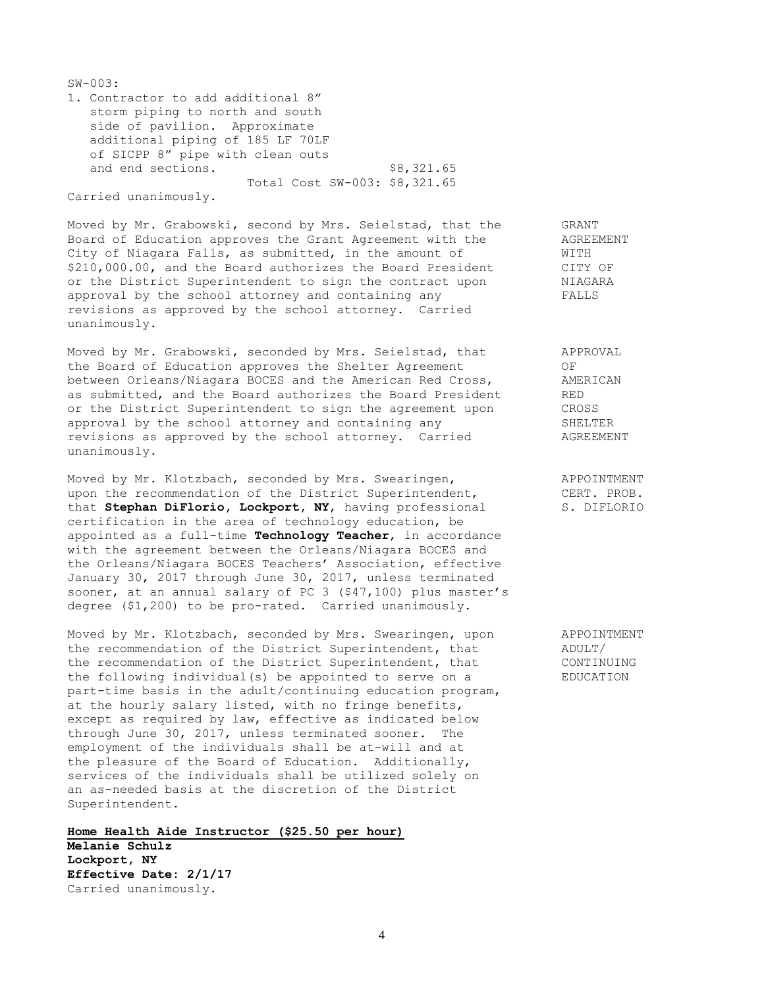| $SW - 003:$                                                                                                                                                                    |            |
|--------------------------------------------------------------------------------------------------------------------------------------------------------------------------------|------------|
| 1. Contractor to add additional 8"<br>storm piping to north and south<br>side of pavilion. Approximate<br>additional piping of 185 LF 70LF<br>of SICPP 8" pipe with clean outs |            |
| and end sections.<br>Total Cost SW-003: \$8,321.65                                                                                                                             | \$8,321.65 |

Carried unanimously.

Moved by Mr. Grabowski, second by Mrs. Seielstad, that the GRANT Board of Education approves the Grant Agreement with the AGREEMENT City of Niagara Falls, as submitted, in the amount of WITH \$210,000.00, and the Board authorizes the Board President CITY OF or the District Superintendent to sign the contract upon MIAGARA or the District Superintendent to sign the contract upon approval by the school attorney and containing any FALLS revisions as approved by the school attorney. Carried unanimously.

Moved by Mr. Grabowski, seconded by Mrs. Seielstad, that APPROVAL the Board of Education approves the Shelter Agreement OF between Orleans/Niagara BOCES and the American Red Cross, AMERICAN<br>as submitted, and the Board authorizes the Board President RED as submitted, and the Board authorizes the Board President or the District Superintendent to sign the agreement upon CROSS<br>approval by the school attornev and containing any SHELTER approval by the school attorney and containing any revisions as approved by the school attorney. Carried AGREEMENT unanimously.

Moved by Mr. Klotzbach, seconded by Mrs. Swearingen, The MapPOINTMENT upon the recommendation of the District Superintendent, CERT. PROB. that **Stephan DiFlorio, Lockport, NY**, having professional S. DIFLORIO certification in the area of technology education, be appointed as a full-time **Technology Teacher**, in accordance with the agreement between the Orleans/Niagara BOCES and the Orleans/Niagara BOCES Teachers' Association, effective January 30, 2017 through June 30, 2017, unless terminated sooner, at an annual salary of PC 3 (\$47,100) plus master's degree (\$1,200) to be pro-rated. Carried unanimously.

Moved by Mr. Klotzbach, seconded by Mrs. Swearingen, upon APPOINTMENT the recommendation of the District Superintendent, that ADULT/ the recommendation of the District Superintendent, that CONTINUING the following individual(s) be appointed to serve on a EDUCATION part-time basis in the adult/continuing education program, at the hourly salary listed, with no fringe benefits, except as required by law, effective as indicated below through June 30, 2017, unless terminated sooner. The employment of the individuals shall be at-will and at the pleasure of the Board of Education. Additionally, services of the individuals shall be utilized solely on an as-needed basis at the discretion of the District Superintendent.

**Home Health Aide Instructor (\$25.50 per hour) Melanie Schulz Lockport, NY Effective Date: 2/1/17** Carried unanimously.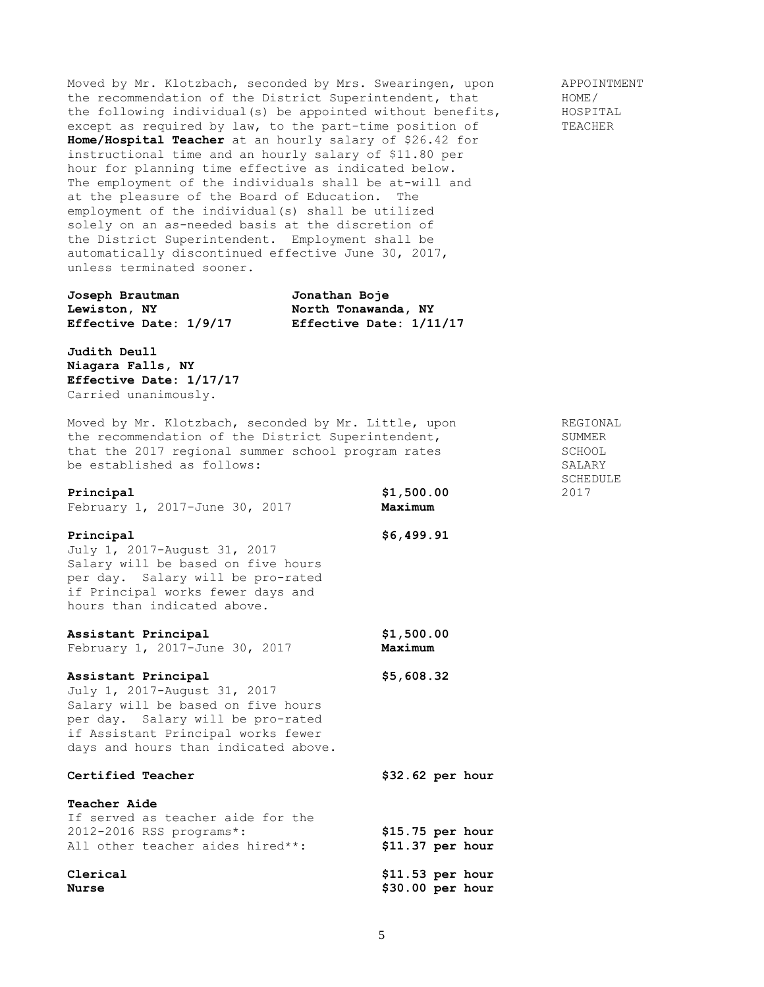Moved by Mr. Klotzbach, seconded by Mrs. Swearingen, upon appoint APPOINTMENT<br>the recommendation of the District Superintendent, that THOME/ the recommendation of the District Superintendent, that the following individual(s) be appointed without benefits, HOSPITAL except as required by law, to the part-time position of TEACHER **Home/Hospital Teacher** at an hourly salary of \$26.42 for instructional time and an hourly salary of \$11.80 per hour for planning time effective as indicated below. The employment of the individuals shall be at-will and at the pleasure of the Board of Education. The employment of the individual(s) shall be utilized solely on an as-needed basis at the discretion of the District Superintendent. Employment shall be automatically discontinued effective June 30, 2017, unless terminated sooner.

**Joseph Brautman Jonathan Boje Lewiston, NY North Tonawanda, NY Effective Date: 1/9/17 Effective Date: 1/11/17**

**Judith Deull Niagara Falls, NY Effective Date: 1/17/17** Carried unanimously.

Moved by Mr. Klotzbach, seconded by Mr. Little, upon REGIONAL the recommendation of the District Superintendent, SUMMER that the 2017 regional summer school program rates SCHOOL be established as follows:  $SALARY$ 

**Principal \$1,500.00** 2017 February 1, 2017-June 30, 2017 **Maximum Principal \$6,499.91** July 1, 2017-August 31, 2017 Salary will be based on five hours per day. Salary will be pro-rated if Principal works fewer days and hours than indicated above. **Assistant Principal \$1,500.00** February 1, 2017-June 30, 2017 **Maximum Assistant Principal \$5,608.32** July 1, 2017-August 31, 2017 Salary will be based on five hours per day. Salary will be pro-rated if Assistant Principal works fewer days and hours than indicated above. **Certified Teacher \$32.62 per hour Teacher Aide** If served as teacher aide for the 2012-2016 RSS programs\*: **\$15.75 per hour** All other teacher aides hired\*\*: **\$11.37 per hour Clerical \$11.53 per hour Nurse \$30.00 per hour**

SCHEDULE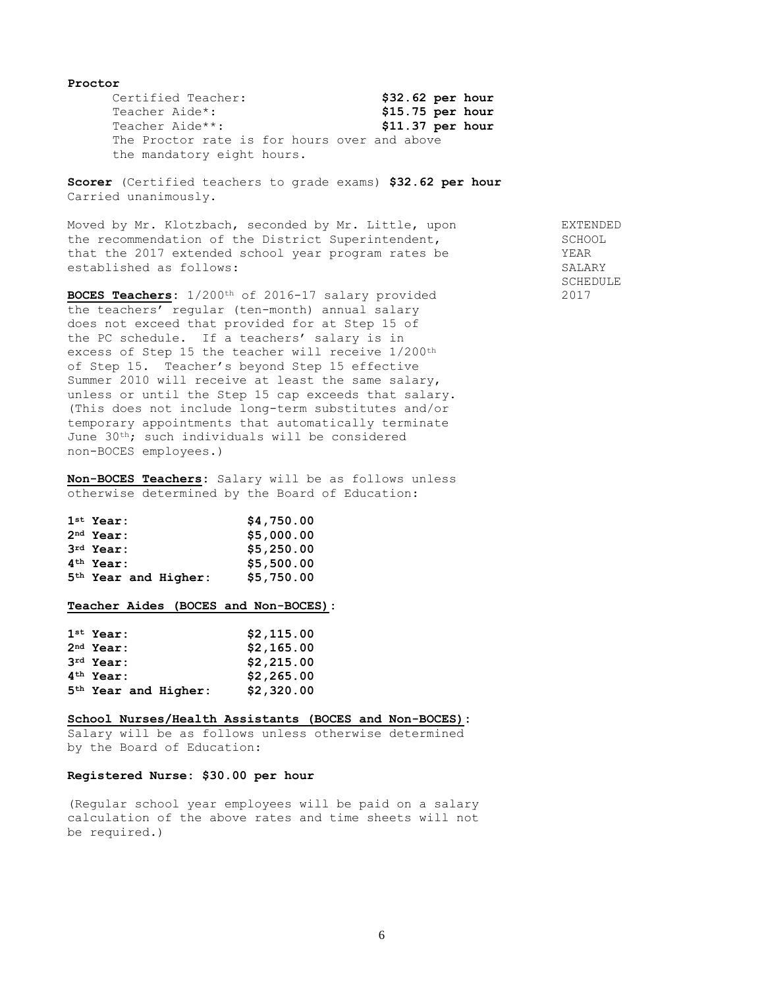#### **Proctor**

Certified Teacher: **\$32.62 per hour** Teacher Aide\*: **\$15.75 per hour** Teacher Aide\*\*: **\$11.37 per hour** The Proctor rate is for hours over and above the mandatory eight hours.

**Scorer** (Certified teachers to grade exams) **\$32.62 per hour** Carried unanimously.

Moved by Mr. Klotzbach, seconded by Mr. Little, upon EXTENDED the recommendation of the District Superintendent, SCHOOL that the 2017 extended school year program rates be YEAR established as follows: SALARY

**BOCES Teachers:**  $1/200$ <sup>th</sup> of 2016-17 salary provided 2017 the teachers' regular (ten-month) annual salary does not exceed that provided for at Step 15 of the PC schedule. If a teachers' salary is in excess of Step 15 the teacher will receive 1/200th of Step 15. Teacher's beyond Step 15 effective Summer 2010 will receive at least the same salary, unless or until the Step 15 cap exceeds that salary. (This does not include long-term substitutes and/or temporary appointments that automatically terminate June 30th; such individuals will be considered non-BOCES employees.)

**Non-BOCES Teachers:** Salary will be as follows unless otherwise determined by the Board of Education:

| $1st$ Year:            | \$4,750.00 |
|------------------------|------------|
| $2nd$ Year:            | \$5,000.00 |
| $3rd$ Year:            | \$5,250.00 |
| $4th$ Year:            | \$5,500.00 |
| $5th$ Year and Higher: | \$5,750.00 |

# **Teacher Aides (BOCES and Non-BOCES):**

| $1st$ Year:                      | \$2,115.00 |
|----------------------------------|------------|
| $2nd$ Year:                      | \$2,165.00 |
| $3rd$ Year:                      | \$2,215.00 |
| $4th$ Year:                      | \$2,265.00 |
| 5 <sup>th</sup> Year and Higher: | \$2,320.00 |

### **School Nurses/Health Assistants (BOCES and Non-BOCES):**

Salary will be as follows unless otherwise determined by the Board of Education:

## **Registered Nurse: \$30.00 per hour**

(Regular school year employees will be paid on a salary calculation of the above rates and time sheets will not be required.)

SCHEDULE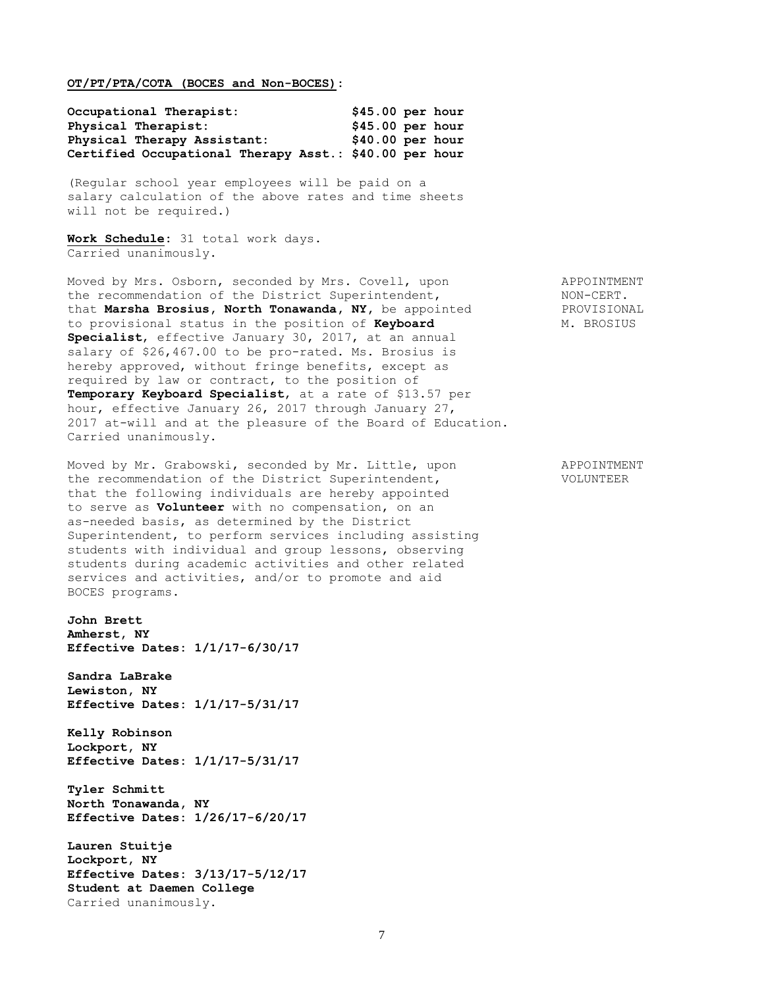**OT/PT/PTA/COTA (BOCES and Non-BOCES):** 

| Occupational Therapist:                                | $$45.00$ per hour |  |
|--------------------------------------------------------|-------------------|--|
| Physical Therapist:                                    | $$45.00$ per hour |  |
| Physical Therapy Assistant:                            | $$40.00$ per hour |  |
| Certified Occupational Therapy Asst.: \$40.00 per hour |                   |  |

(Regular school year employees will be paid on a salary calculation of the above rates and time sheets will not be required.)

**Work Schedule:** 31 total work days. Carried unanimously.

Moved by Mrs. Osborn, seconded by Mrs. Covell, upon APPOINTMENT the recommendation of the District Superintendent, NON-CERT. that **Marsha Brosius, North Tonawanda, NY,** be appointed PROVISIONAL to provisional status in the position of **Keyboard** M. BROSIUS **Specialist**, effective January 30, 2017, at an annual salary of \$26,467.00 to be pro-rated. Ms. Brosius is hereby approved, without fringe benefits, except as required by law or contract, to the position of **Temporary Keyboard Specialist**, at a rate of \$13.57 per hour, effective January 26, 2017 through January 27, 2017 at-will and at the pleasure of the Board of Education. Carried unanimously.

Moved by Mr. Grabowski, seconded by Mr. Little, upon APPOINTMENT the recommendation of the District Superintendent, VOLUNTEER that the following individuals are hereby appointed to serve as **Volunteer** with no compensation, on an as-needed basis, as determined by the District Superintendent, to perform services including assisting students with individual and group lessons, observing students during academic activities and other related services and activities, and/or to promote and aid BOCES programs.

**John Brett Amherst, NY Effective Dates: 1/1/17-6/30/17**

**Sandra LaBrake Lewiston, NY Effective Dates: 1/1/17-5/31/17**

**Kelly Robinson Lockport, NY Effective Dates: 1/1/17-5/31/17**

**Tyler Schmitt North Tonawanda, NY Effective Dates: 1/26/17-6/20/17**

**Lauren Stuitje Lockport, NY Effective Dates: 3/13/17-5/12/17 Student at Daemen College** Carried unanimously.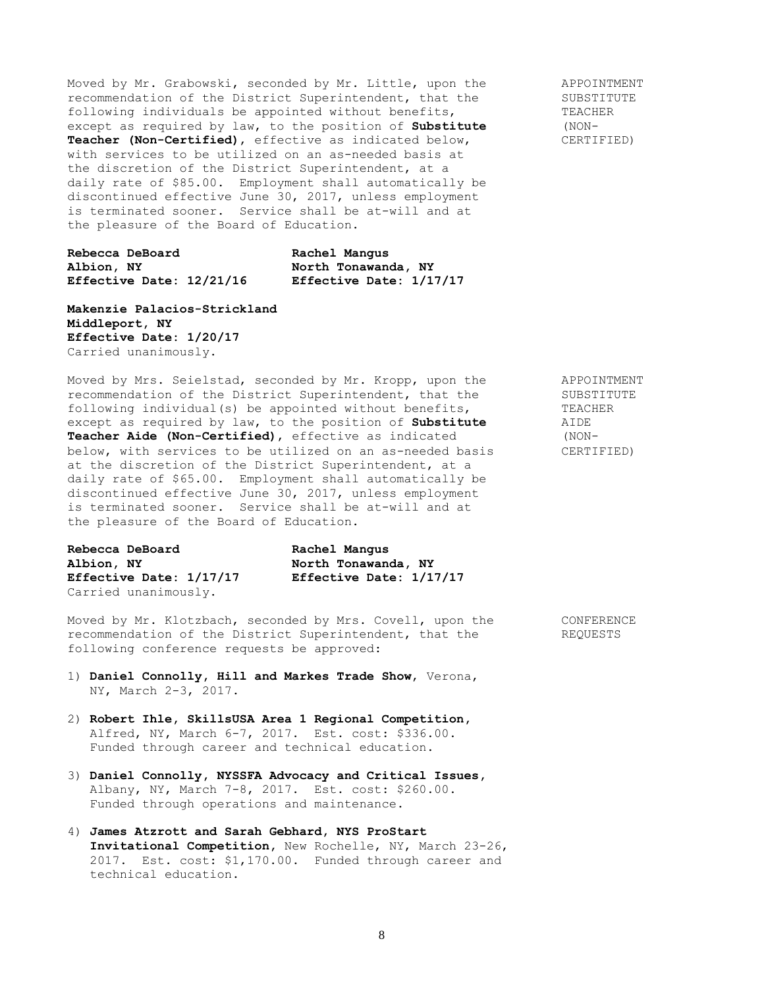Moved by Mr. Grabowski, seconded by Mr. Little, upon the APPOINTMENT<br>recommendation of the District Superintendent, that the SUBSTITUTE recommendation of the District Superintendent, that the following individuals be appointed without benefits, TEACHER<br>except as required by law, to the position of **Substitute** (NONexcept as required by law, to the position of **Substitute Teacher (Non-Certified)**, effective as indicated below, CERTIFIED) with services to be utilized on an as-needed basis at the discretion of the District Superintendent, at a daily rate of \$85.00. Employment shall automatically be discontinued effective June 30, 2017, unless employment is terminated sooner. Service shall be at-will and at the pleasure of the Board of Education.

| Rebecca DeBoard          | Rachel Mangus           |
|--------------------------|-------------------------|
| Albion, NY               | North Tonawanda, NY     |
| Effective Date: 12/21/16 | Effective Date: 1/17/17 |

**Makenzie Palacios-Strickland Middleport, NY Effective Date: 1/20/17** Carried unanimously.

Moved by Mrs. Seielstad, seconded by Mr. Kropp, upon the APPOINTMENT recommendation of the District Superintendent, that the SUBSTITUTE following individual(s) be appointed without benefits, TEACHER<br>except as required by law, to the position of **Substitute** AIDE except as required by law, to the position of **Substitute Teacher Aide (Non-Certified)**, effective as indicated (NONbelow, with services to be utilized on an as-needed basis CERTIFIED) at the discretion of the District Superintendent, at a daily rate of \$65.00. Employment shall automatically be discontinued effective June 30, 2017, unless employment is terminated sooner. Service shall be at-will and at the pleasure of the Board of Education.

| Rebecca DeBoard         | Rachel Mangus           |
|-------------------------|-------------------------|
| Albion, NY              | North Tonawanda, NY     |
| Effective Date: 1/17/17 | Effective Date: 1/17/17 |
| Carried unanimously.    |                         |

Moved by Mr. Klotzbach, seconded by Mrs. Covell, upon the CONFERENCE recommendation of the District Superintendent, that the REQUESTS following conference requests be approved:

- 1) **Daniel Connolly, Hill and Markes Trade Show**, Verona, NY, March 2-3, 2017.
- 2) **Robert Ihle, SkillsUSA Area 1 Regional Competition,** Alfred, NY, March 6-7, 2017. Est. cost: \$336.00. Funded through career and technical education.
- 3) **Daniel Connolly, NYSSFA Advocacy and Critical Issues,** Albany, NY, March 7-8, 2017. Est. cost: \$260.00. Funded through operations and maintenance.
- 4) **James Atzrott and Sarah Gebhard, NYS ProStart Invitational Competition,** New Rochelle, NY, March 23-26, 2017. Est. cost: \$1,170.00. Funded through career and technical education.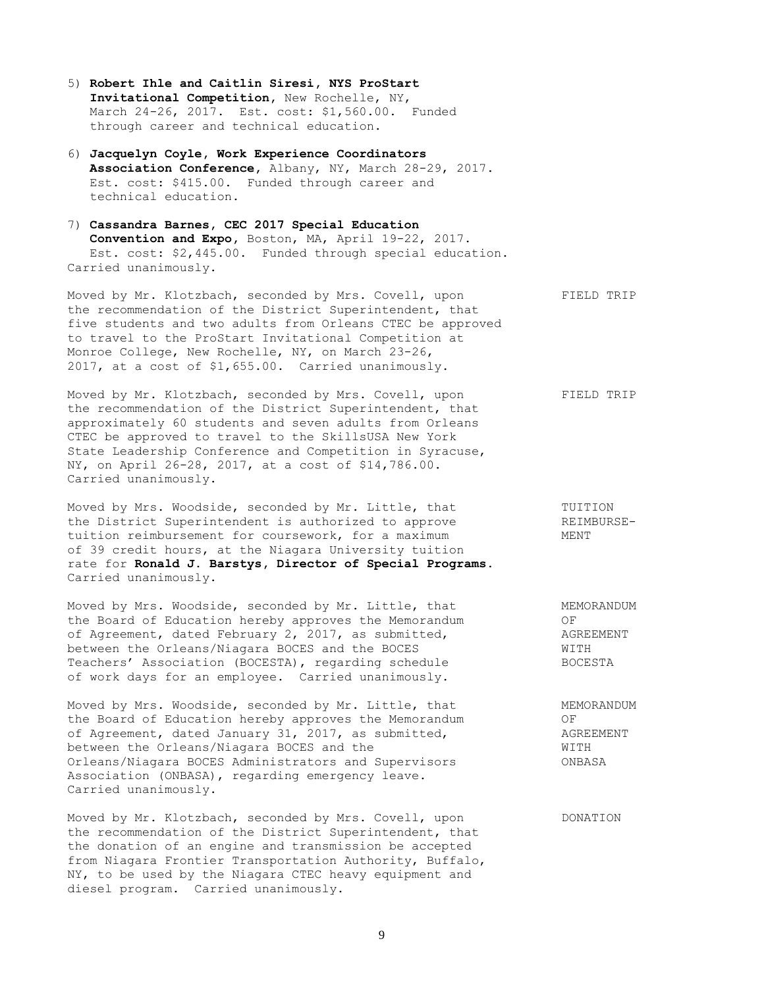- 5) **Robert Ihle and Caitlin Siresi, NYS ProStart Invitational Competition,** New Rochelle, NY, March 24-26, 2017. Est. cost: \$1,560.00. Funded through career and technical education.
- 6) **Jacquelyn Coyle, Work Experience Coordinators Association Conference,** Albany, NY, March 28-29, 2017. Est. cost: \$415.00. Funded through career and technical education.
- 7) **Cassandra Barnes, CEC 2017 Special Education Convention and Expo,** Boston, MA, April 19-22, 2017. Est. cost: \$2,445.00. Funded through special education. Carried unanimously.

Moved by Mr. Klotzbach, seconded by Mrs. Covell, upon FIELD TRIP the recommendation of the District Superintendent, that five students and two adults from Orleans CTEC be approved to travel to the ProStart Invitational Competition at Monroe College, New Rochelle, NY, on March 23-26, 2017, at a cost of \$1,655.00. Carried unanimously.

Moved by Mr. Klotzbach, seconded by Mrs. Covell, upon FIELD TRIP the recommendation of the District Superintendent, that approximately 60 students and seven adults from Orleans CTEC be approved to travel to the SkillsUSA New York State Leadership Conference and Competition in Syracuse, NY, on April 26-28, 2017, at a cost of \$14,786.00. Carried unanimously.

Moved by Mrs. Woodside, seconded by Mr. Little, that TUITION<br>
the District Superintendent is authorized to approve TREIMBURSEthe District Superintendent is authorized to approve tuition reimbursement for coursework, for a maximum MENT of 39 credit hours, at the Niagara University tuition rate for **Ronald J. Barstys, Director of Special Programs**. Carried unanimously.

Moved by Mrs. Woodside, seconded by Mr. Little, that MEMORANDUM the Board of Education hereby approves the Memorandum OF of Agreement, dated February 2, 2017, as submitted, and the AGREEMENT between the Orleans/Niagara BOCES and the BOCES WITH Teachers' Association (BOCESTA), regarding schedule BOCESTA of work days for an employee. Carried unanimously.

Moved by Mrs. Woodside, seconded by Mr. Little, that MEMORANDUM the Board of Education hereby approves the Memorandum OF of Agreement, dated January 31, 2017, as submitted, AGREEMENT between the Orleans/Niagara BOCES and the WITH Orleans/Niagara BOCES Administrators and Supervisors ONBASA Association (ONBASA), regarding emergency leave. Carried unanimously.

Moved by Mr. Klotzbach, seconded by Mrs. Covell, upon DONATION the recommendation of the District Superintendent, that the donation of an engine and transmission be accepted from Niagara Frontier Transportation Authority, Buffalo, NY, to be used by the Niagara CTEC heavy equipment and diesel program. Carried unanimously.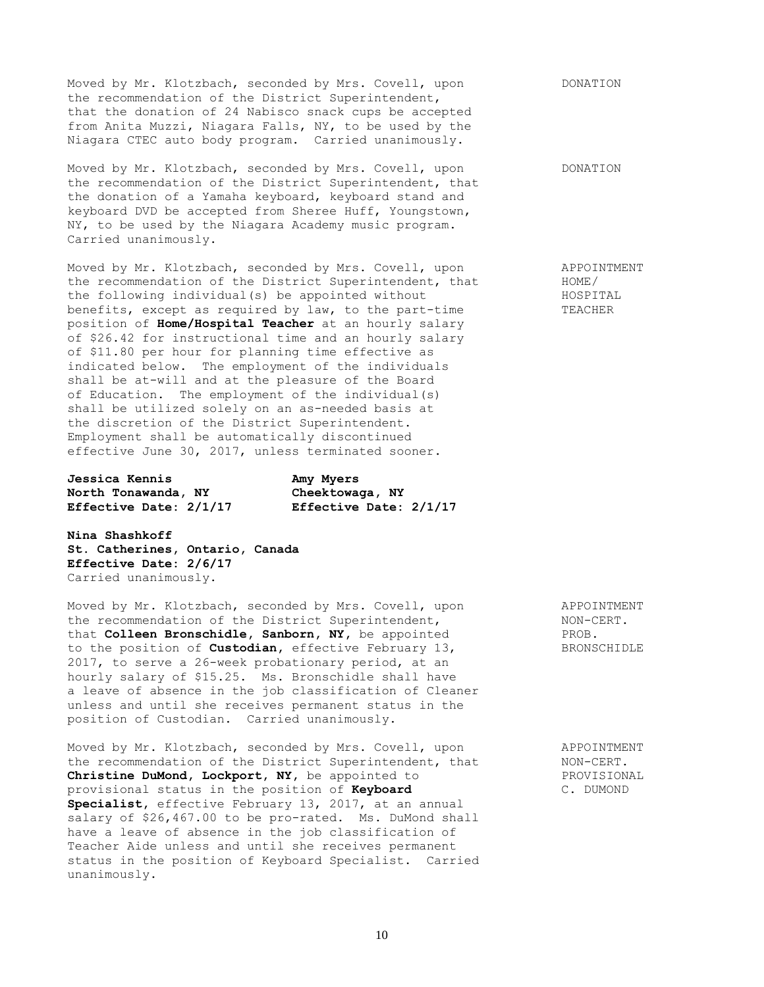Moved by Mr. Klotzbach, seconded by Mrs. Covell, upon DONATION the recommendation of the District Superintendent, that the donation of 24 Nabisco snack cups be accepted from Anita Muzzi, Niagara Falls, NY, to be used by the Niagara CTEC auto body program. Carried unanimously.

Moved by Mr. Klotzbach, seconded by Mrs. Covell, upon DONATION the recommendation of the District Superintendent, that the donation of a Yamaha keyboard, keyboard stand and keyboard DVD be accepted from Sheree Huff, Youngstown, NY, to be used by the Niagara Academy music program. Carried unanimously.

Moved by Mr. Klotzbach, seconded by Mrs. Covell, upon APPOINTMENT the recommendation of the District Superintendent, that  $HOME$ /<br>the following individual(s) be appointed without HOSPITAL the following individual(s) be appointed without benefits, except as required by law, to the part-time TEACHER position of **Home/Hospital Teacher** at an hourly salary of \$26.42 for instructional time and an hourly salary of \$11.80 per hour for planning time effective as indicated below. The employment of the individuals shall be at-will and at the pleasure of the Board of Education. The employment of the individual(s) shall be utilized solely on an as-needed basis at the discretion of the District Superintendent. Employment shall be automatically discontinued effective June 30, 2017, unless terminated sooner.

**Jessica Kennis Amy Myers North Tonawanda, NY** 

**Effective Date: 2/1/17 Effective Date: 2/1/17**

**Nina Shashkoff St. Catherines, Ontario, Canada Effective Date: 2/6/17** Carried unanimously.

Moved by Mr. Klotzbach, seconded by Mrs. Covell, upon APPOINTMENT the recommendation of the District Superintendent, NON-CERT. that **Colleen Bronschidle, Sanborn, NY,** be appointed PROB. to the position of **Custodian,** effective February 13, BRONSCHIDLE 2017, to serve a 26-week probationary period, at an hourly salary of \$15.25. Ms. Bronschidle shall have a leave of absence in the job classification of Cleaner unless and until she receives permanent status in the position of Custodian. Carried unanimously.

Moved by Mr. Klotzbach, seconded by Mrs. Covell, upon APPOINTMENT the recommendation of the District Superintendent, that MON-CERT.<br> **Christine DuMond, Lockport, NY**, be appointed to PROVISIONAL Christine DuMond, Lockport, NY, be appointed to provisional status in the position of **Keyboard** C. DUMOND **Specialist,** effective February 13, 2017, at an annual salary of \$26,467.00 to be pro-rated. Ms. DuMond shall have a leave of absence in the job classification of Teacher Aide unless and until she receives permanent status in the position of Keyboard Specialist. Carried unanimously.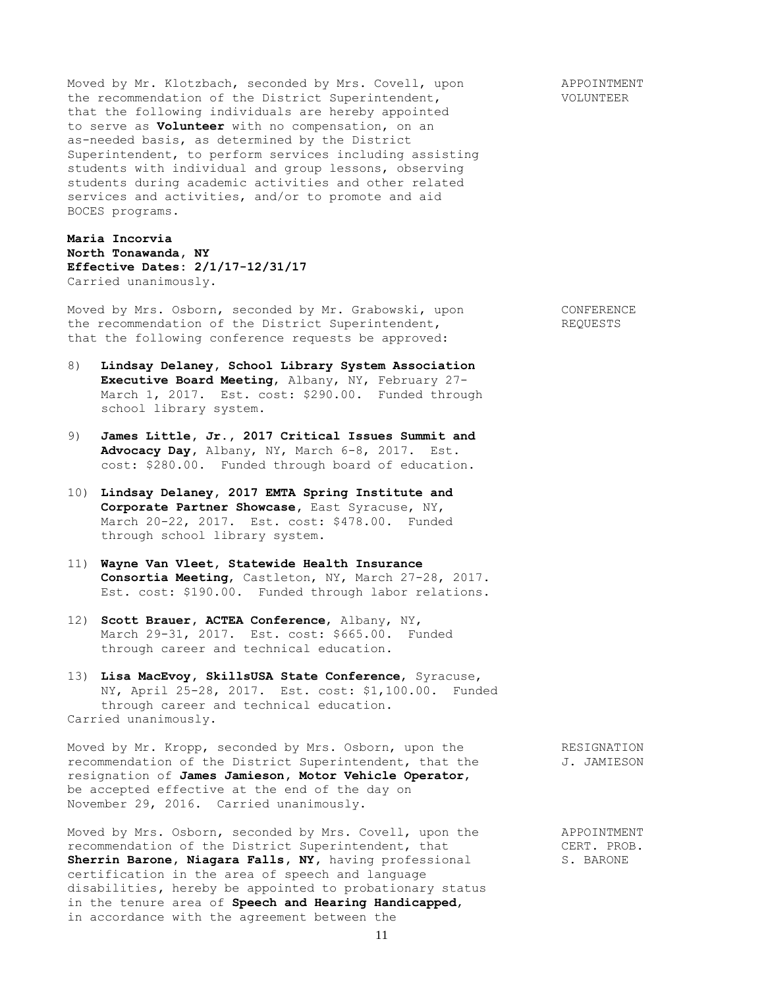Moved by Mr. Klotzbach, seconded by Mrs. Covell, upon APPOINTMENT the recommendation of the District Superintendent,  $V$  VOLUNTEER that the following individuals are hereby appointed to serve as **Volunteer** with no compensation, on an as-needed basis, as determined by the District Superintendent, to perform services including assisting students with individual and group lessons, observing students during academic activities and other related services and activities, and/or to promote and aid BOCES programs.

**Maria Incorvia North Tonawanda, NY Effective Dates: 2/1/17-12/31/17** Carried unanimously.

Moved by Mrs. Osborn, seconded by Mr. Grabowski, upon CONFERENCE the recommendation of the District Superintendent, The REQUESTS that the following conference requests be approved:

- 8) **Lindsay Delaney, School Library System Association Executive Board Meeting**, Albany, NY, February 27- March 1, 2017. Est. cost: \$290.00. Funded through school library system.
- 9) **James Little, Jr., 2017 Critical Issues Summit and Advocacy Day,** Albany, NY, March 6-8, 2017. Est. cost: \$280.00. Funded through board of education.
- 10) **Lindsay Delaney, 2017 EMTA Spring Institute and Corporate Partner Showcase,** East Syracuse, NY, March 20-22, 2017. Est. cost: \$478.00. Funded through school library system.
- 11) **Wayne Van Vleet, Statewide Health Insurance Consortia Meeting**, Castleton, NY, March 27-28, 2017. Est. cost: \$190.00. Funded through labor relations.
- 12) **Scott Brauer, ACTEA Conference**, Albany, NY, March 29-31, 2017. Est. cost: \$665.00. Funded through career and technical education.
- 13) **Lisa MacEvoy, SkillsUSA State Conference**, Syracuse, NY, April 25-28, 2017. Est. cost: \$1,100.00. Funded through career and technical education. Carried unanimously.

Moved by Mr. Kropp, seconded by Mrs. Osborn, upon the RESIGNATION recommendation of the District Superintendent, that the  $J.$  JAMIESON resignation of **James Jamieson, Motor Vehicle Operator**, be accepted effective at the end of the day on November 29, 2016. Carried unanimously.

Moved by Mrs. Osborn, seconded by Mrs. Covell, upon the APPOINTMENT recommendation of the District Superintendent, that CERT. PROB. Sherrin Barone, Niagara Falls, NY, having professional S. BARONE certification in the area of speech and language disabilities**,** hereby be appointed to probationary status in the tenure area of **Speech and Hearing Handicapped**, in accordance with the agreement between the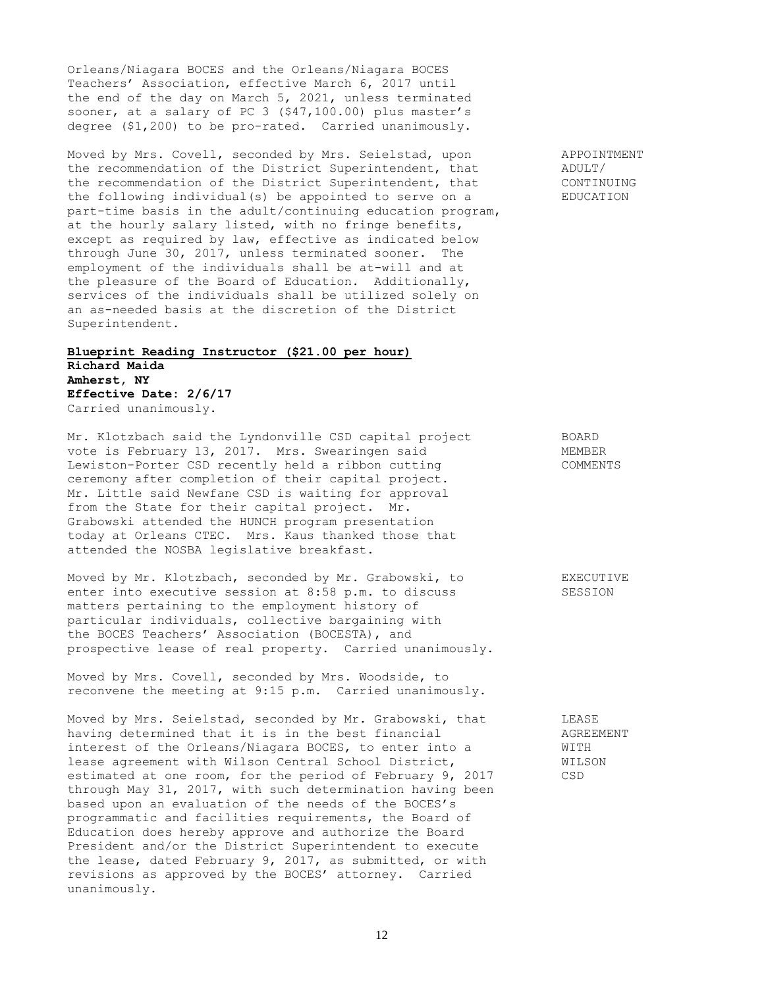Orleans/Niagara BOCES and the Orleans/Niagara BOCES Teachers' Association, effective March 6, 2017 until the end of the day on March 5, 2021, unless terminated sooner, at a salary of PC 3 (\$47,100.00) plus master's degree (\$1,200) to be pro-rated. Carried unanimously.

Moved by Mrs. Covell, seconded by Mrs. Seielstad, upon APPOINTMENT the recommendation of the District Superintendent, that ADULT/ the recommendation of the District Superintendent, that CONTINUING the following individual(s) be appointed to serve on a EDUCATION part-time basis in the adult/continuing education program, at the hourly salary listed, with no fringe benefits, except as required by law, effective as indicated below through June 30, 2017, unless terminated sooner. The employment of the individuals shall be at-will and at the pleasure of the Board of Education. Additionally, services of the individuals shall be utilized solely on an as-needed basis at the discretion of the District Superintendent.

## **Blueprint Reading Instructor (\$21.00 per hour) Richard Maida Amherst, NY Effective Date: 2/6/17** Carried unanimously.

Mr. Klotzbach said the Lyndonville CSD capital project BOARD vote is February 13, 2017. Mrs. Swearingen said MEMBER Lewiston-Porter CSD recently held a ribbon cutting COMMENTS ceremony after completion of their capital project. Mr. Little said Newfane CSD is waiting for approval from the State for their capital project. Mr. Grabowski attended the HUNCH program presentation today at Orleans CTEC. Mrs. Kaus thanked those that attended the NOSBA legislative breakfast.

Moved by Mr. Klotzbach, seconded by Mr. Grabowski, to EXECUTIVE enter into executive session at 8:58 p.m. to discuss SESSION matters pertaining to the employment history of particular individuals, collective bargaining with the BOCES Teachers' Association (BOCESTA), and prospective lease of real property. Carried unanimously.

Moved by Mrs. Covell, seconded by Mrs. Woodside, to reconvene the meeting at 9:15 p.m. Carried unanimously.

Moved by Mrs. Seielstad, seconded by Mr. Grabowski, that LEASE having determined that it is in the best financial AGREEMENT interest of the Orleans/Niagara BOCES, to enter into a WITH lease agreement with Wilson Central School District, WILSON estimated at one room, for the period of February 9, 2017 CSD through May 31, 2017, with such determination having been based upon an evaluation of the needs of the BOCES's programmatic and facilities requirements, the Board of Education does hereby approve and authorize the Board President and/or the District Superintendent to execute the lease, dated February 9, 2017, as submitted, or with revisions as approved by the BOCES' attorney. Carried unanimously.